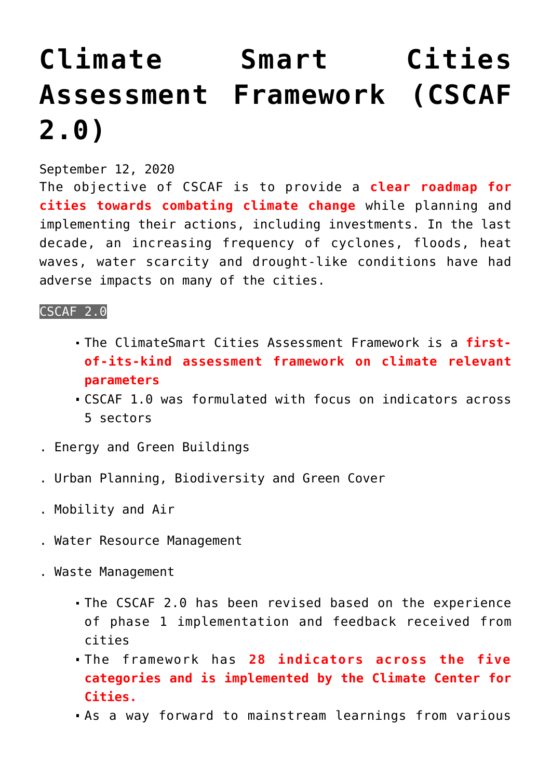# **[Climate Smart Cities](https://journalsofindia.com/climate-smart-cities-assessment-framework-cscaf-2-0/) [Assessment Framework \(CSCAF](https://journalsofindia.com/climate-smart-cities-assessment-framework-cscaf-2-0/) [2.0\)](https://journalsofindia.com/climate-smart-cities-assessment-framework-cscaf-2-0/)**

# September 12, 2020

The objective of CSCAF is to provide a **clear roadmap for cities towards combating climate change** while planning and implementing their actions, including investments. In the last decade, an increasing frequency of cyclones, floods, heat waves, water scarcity and drought-like conditions have had adverse impacts on many of the cities.

## CSCAF 2.0

- The ClimateSmart Cities Assessment Framework is a **firstof-its-kind assessment framework on climate relevant parameters**
- CSCAF 1.0 was formulated with focus on indicators across 5 sectors
- . Energy and Green Buildings
- . Urban Planning, Biodiversity and Green Cover
- . Mobility and Air
- . Water Resource Management
- . Waste Management
	- The CSCAF 2.0 has been revised based on the experience of phase 1 implementation and feedback received from cities
	- The framework has **28 indicators across the five categories and is implemented by the Climate Center for Cities.**
	- As a way forward to mainstream learnings from various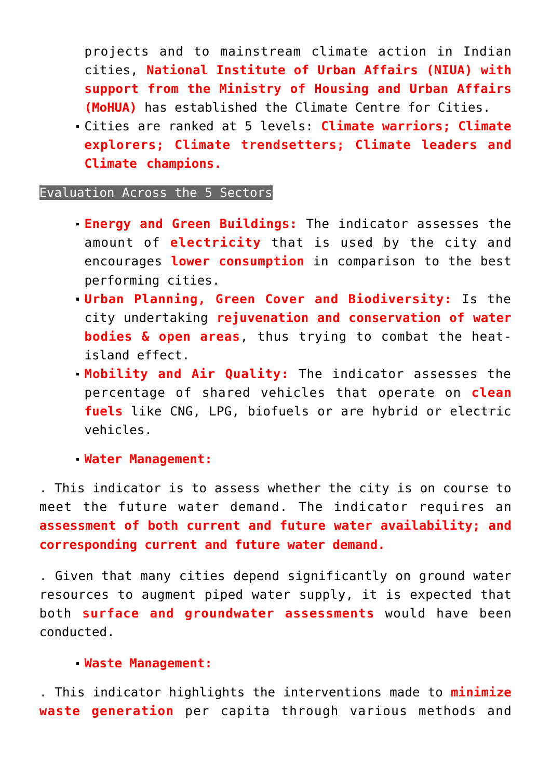projects and to mainstream climate action in Indian cities, **National Institute of Urban Affairs (NIUA) with support from the Ministry of Housing and Urban Affairs (MoHUA)** has established the Climate Centre for Cities.

Cities are ranked at 5 levels: **Climate warriors; Climate explorers; Climate trendsetters; Climate leaders and Climate champions.** 

### Evaluation Across the 5 Sectors

- **Energy and Green Buildings:** The indicator assesses the amount of **electricity** that is used by the city and encourages **lower consumption** in comparison to the best performing cities.
- **Urban Planning, Green Cover and Biodiversity:** Is the city undertaking **rejuvenation and conservation of water bodies & open areas**, thus trying to combat the heatisland effect.
- **Mobility and Air Quality:** The indicator assesses the percentage of shared vehicles that operate on **clean fuels** like CNG, LPG, biofuels or are hybrid or electric vehicles.

#### **Water Management:**

. This indicator is to assess whether the city is on course to meet the future water demand. The indicator requires an **assessment of both current and future water availability; and corresponding current and future water demand.** 

. Given that many cities depend significantly on ground water resources to augment piped water supply, it is expected that both **surface and groundwater assessments** would have been conducted.

#### **Waste Management:**

. This indicator highlights the interventions made to **minimize waste generation** per capita through various methods and